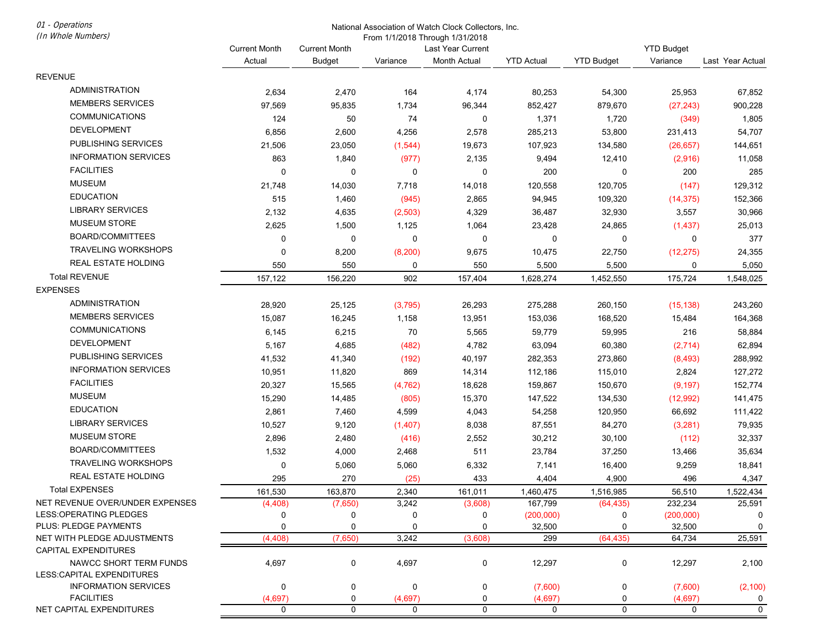01 - Operations (In Whole Numbers)

### National Association of Watch Clock Collectors, Inc.

From 1/1/2018 Through 1/31/2018

| Actual<br><b>YTD Budget</b><br>Variance<br><b>Budget</b><br>Variance<br>Month Actual<br><b>YTD Actual</b><br>Last Year Actual<br><b>REVENUE</b><br><b>ADMINISTRATION</b><br>2,634<br>2,470<br>164<br>4,174<br>80,253<br>54,300<br>25,953<br>67,852<br><b>MEMBERS SERVICES</b><br>97,569<br>95,835<br>1,734<br>96,344<br>852,427<br>879,670<br>(27, 243)<br>900,228<br><b>COMMUNICATIONS</b><br>124<br>50<br>74<br>0<br>1,371<br>1,720<br>1,805<br>(349)<br>DEVELOPMENT<br>6,856<br>2,600<br>4,256<br>2,578<br>285,213<br>53,800<br>231,413<br>54,707<br>PUBLISHING SERVICES<br>21,506<br>23,050<br>19,673<br>107,923<br>134,580<br>(1, 544)<br>(26, 657)<br>144,651<br><b>INFORMATION SERVICES</b><br>863<br>1,840<br>(977)<br>2,135<br>9,494<br>12,410<br>(2,916)<br>11,058<br><b>FACILITIES</b><br>200<br>285<br>0<br>0<br>0<br>0<br>0<br>200<br><b>MUSEUM</b><br>120,558<br>21,748<br>14,030<br>7,718<br>14,018<br>120,705<br>(147)<br>129,312<br><b>EDUCATION</b><br>2,865<br>515<br>1,460<br>(945)<br>94,945<br>109,320<br>(14, 375)<br>152,366<br><b>LIBRARY SERVICES</b><br>2,132<br>4,635<br>(2, 503)<br>4,329<br>36,487<br>32,930<br>3,557<br>30,966<br><b>MUSEUM STORE</b><br>2,625<br>1,500<br>1,125<br>1,064<br>23,428<br>24,865<br>25,013<br>(1,437)<br>BOARD/COMMITTEES<br>0<br>0<br>0<br>0<br>0<br>0<br>0<br>377<br><b>TRAVELING WORKSHOPS</b><br>0<br>8,200<br>(8, 200)<br>9,675<br>10,475<br>22,750<br>(12, 275)<br>24,355<br>REAL ESTATE HOLDING<br>550<br>550<br>550<br>5,500<br>5,500<br>0<br>0<br>5,050<br><b>Total REVENUE</b><br>157,122<br>156,220<br>902<br>1,628,274<br>175,724<br>157,404<br>1,452,550<br>1,548,025<br><b>EXPENSES</b><br><b>ADMINISTRATION</b><br>28,920<br>25,125<br>(3,795)<br>275,288<br>260,150<br>243,260<br>26,293<br>(15, 138)<br><b>MEMBERS SERVICES</b><br>15,087<br>16,245<br>1,158<br>13,951<br>153,036<br>168,520<br>15,484<br>164,368<br><b>COMMUNICATIONS</b><br>70<br>59,779<br>6,145<br>6,215<br>5,565<br>59,995<br>216<br>58,884<br>DEVELOPMENT<br>63,094<br>5,167<br>4,685<br>4,782<br>60,380<br>(2,714)<br>62,894<br>(482)<br>PUBLISHING SERVICES<br>41,532<br>41,340<br>40,197<br>282,353<br>273,860<br>288,992<br>(192)<br>(8, 493)<br><b>INFORMATION SERVICES</b><br>10,951<br>11,820<br>869<br>14,314<br>112,186<br>2,824<br>127,272<br>115,010<br><b>FACILITIES</b><br>20,327<br>15,565<br>(4, 762)<br>18,628<br>159,867<br>(9, 197)<br>152,774<br>150,670<br><b>MUSEUM</b><br>15,290<br>14,485<br>(805)<br>15,370<br>147,522<br>141,475<br>134,530<br>(12,992)<br><b>EDUCATION</b><br>2,861<br>7,460<br>4,599<br>4,043<br>54,258<br>120,950<br>66,692<br>111,422<br><b>LIBRARY SERVICES</b><br>10,527<br>9,120<br>(1,407)<br>8,038<br>87,551<br>84,270<br>(3,281)<br>79,935<br><b>MUSEUM STORE</b><br>2,896<br>2,480<br>2,552<br>30,212<br>30,100<br>32,337<br>(416)<br>(112)<br>BOARD/COMMITTEES<br>1,532<br>511<br>23,784<br>4,000<br>2,468<br>37,250<br>13,466<br>35,634<br><b>TRAVELING WORKSHOPS</b><br>0<br>5,060<br>5,060<br>6,332<br>7,141<br>9,259<br>16,400<br>18,841<br>REAL ESTATE HOLDING<br>270<br>295<br>(25)<br>433<br>4,404<br>4,900<br>496<br>4,347<br><b>Total EXPENSES</b><br>161,530<br>163,870<br>2,340<br>161,011<br>1,460,475<br>1,516,985<br>56,510<br>1,522,434<br>NET REVENUE OVER/UNDER EXPENSES<br>3,242<br>232,234<br>(4, 408)<br>(7,650)<br>(3,608)<br>167,799<br>(64, 435)<br>25,591<br>LESS: OPERATING PLEDGES<br>0<br>$\pmb{0}$<br>0<br>0<br>0<br>0<br>(200,000)<br>(200,000)<br>PLUS: PLEDGE PAYMENTS<br>0<br>$\mathbf 0$<br>0<br>32,500<br>$\Omega$<br>0<br>32,500<br>0<br>NET WITH PLEDGE ADJUSTMENTS<br>(4, 408)<br>(7,650)<br>3,242<br>(3,608)<br>(64, 435)<br>64,734<br>25,591<br>299<br><b>CAPITAL EXPENDITURES</b><br>NAWCC SHORT TERM FUNDS<br>0<br>4,697<br>0<br>4,697<br>0<br>12,297<br>12,297<br>2,100<br><b>LESS:CAPITAL EXPENDITURES</b> |                             | <b>Current Month</b> | <b>Current Month</b> |   | THOIT IT IZO TO THIOUGH TO ITZO TO<br>Last Year Current |         |   | <b>YTD Budget</b> |          |  |
|---------------------------------------------------------------------------------------------------------------------------------------------------------------------------------------------------------------------------------------------------------------------------------------------------------------------------------------------------------------------------------------------------------------------------------------------------------------------------------------------------------------------------------------------------------------------------------------------------------------------------------------------------------------------------------------------------------------------------------------------------------------------------------------------------------------------------------------------------------------------------------------------------------------------------------------------------------------------------------------------------------------------------------------------------------------------------------------------------------------------------------------------------------------------------------------------------------------------------------------------------------------------------------------------------------------------------------------------------------------------------------------------------------------------------------------------------------------------------------------------------------------------------------------------------------------------------------------------------------------------------------------------------------------------------------------------------------------------------------------------------------------------------------------------------------------------------------------------------------------------------------------------------------------------------------------------------------------------------------------------------------------------------------------------------------------------------------------------------------------------------------------------------------------------------------------------------------------------------------------------------------------------------------------------------------------------------------------------------------------------------------------------------------------------------------------------------------------------------------------------------------------------------------------------------------------------------------------------------------------------------------------------------------------------------------------------------------------------------------------------------------------------------------------------------------------------------------------------------------------------------------------------------------------------------------------------------------------------------------------------------------------------------------------------------------------------------------------------------------------------------------------------------------------------------------------------------------------------------------------------------------------------------------------------------------------------------------------------------------------------------------------------------------------------------------------------------------------------------------------------------------------------------------------------------------------------------------------------------------------------------------------------------------------------------------------------------------------------------------------------------------------------------------------------------------------------------------------------------------------|-----------------------------|----------------------|----------------------|---|---------------------------------------------------------|---------|---|-------------------|----------|--|
|                                                                                                                                                                                                                                                                                                                                                                                                                                                                                                                                                                                                                                                                                                                                                                                                                                                                                                                                                                                                                                                                                                                                                                                                                                                                                                                                                                                                                                                                                                                                                                                                                                                                                                                                                                                                                                                                                                                                                                                                                                                                                                                                                                                                                                                                                                                                                                                                                                                                                                                                                                                                                                                                                                                                                                                                                                                                                                                                                                                                                                                                                                                                                                                                                                                                                                                                                                                                                                                                                                                                                                                                                                                                                                                                                                                                                                                               |                             |                      |                      |   |                                                         |         |   |                   |          |  |
|                                                                                                                                                                                                                                                                                                                                                                                                                                                                                                                                                                                                                                                                                                                                                                                                                                                                                                                                                                                                                                                                                                                                                                                                                                                                                                                                                                                                                                                                                                                                                                                                                                                                                                                                                                                                                                                                                                                                                                                                                                                                                                                                                                                                                                                                                                                                                                                                                                                                                                                                                                                                                                                                                                                                                                                                                                                                                                                                                                                                                                                                                                                                                                                                                                                                                                                                                                                                                                                                                                                                                                                                                                                                                                                                                                                                                                                               |                             |                      |                      |   |                                                         |         |   |                   |          |  |
|                                                                                                                                                                                                                                                                                                                                                                                                                                                                                                                                                                                                                                                                                                                                                                                                                                                                                                                                                                                                                                                                                                                                                                                                                                                                                                                                                                                                                                                                                                                                                                                                                                                                                                                                                                                                                                                                                                                                                                                                                                                                                                                                                                                                                                                                                                                                                                                                                                                                                                                                                                                                                                                                                                                                                                                                                                                                                                                                                                                                                                                                                                                                                                                                                                                                                                                                                                                                                                                                                                                                                                                                                                                                                                                                                                                                                                                               |                             |                      |                      |   |                                                         |         |   |                   |          |  |
|                                                                                                                                                                                                                                                                                                                                                                                                                                                                                                                                                                                                                                                                                                                                                                                                                                                                                                                                                                                                                                                                                                                                                                                                                                                                                                                                                                                                                                                                                                                                                                                                                                                                                                                                                                                                                                                                                                                                                                                                                                                                                                                                                                                                                                                                                                                                                                                                                                                                                                                                                                                                                                                                                                                                                                                                                                                                                                                                                                                                                                                                                                                                                                                                                                                                                                                                                                                                                                                                                                                                                                                                                                                                                                                                                                                                                                                               |                             |                      |                      |   |                                                         |         |   |                   |          |  |
|                                                                                                                                                                                                                                                                                                                                                                                                                                                                                                                                                                                                                                                                                                                                                                                                                                                                                                                                                                                                                                                                                                                                                                                                                                                                                                                                                                                                                                                                                                                                                                                                                                                                                                                                                                                                                                                                                                                                                                                                                                                                                                                                                                                                                                                                                                                                                                                                                                                                                                                                                                                                                                                                                                                                                                                                                                                                                                                                                                                                                                                                                                                                                                                                                                                                                                                                                                                                                                                                                                                                                                                                                                                                                                                                                                                                                                                               |                             |                      |                      |   |                                                         |         |   |                   |          |  |
|                                                                                                                                                                                                                                                                                                                                                                                                                                                                                                                                                                                                                                                                                                                                                                                                                                                                                                                                                                                                                                                                                                                                                                                                                                                                                                                                                                                                                                                                                                                                                                                                                                                                                                                                                                                                                                                                                                                                                                                                                                                                                                                                                                                                                                                                                                                                                                                                                                                                                                                                                                                                                                                                                                                                                                                                                                                                                                                                                                                                                                                                                                                                                                                                                                                                                                                                                                                                                                                                                                                                                                                                                                                                                                                                                                                                                                                               |                             |                      |                      |   |                                                         |         |   |                   |          |  |
|                                                                                                                                                                                                                                                                                                                                                                                                                                                                                                                                                                                                                                                                                                                                                                                                                                                                                                                                                                                                                                                                                                                                                                                                                                                                                                                                                                                                                                                                                                                                                                                                                                                                                                                                                                                                                                                                                                                                                                                                                                                                                                                                                                                                                                                                                                                                                                                                                                                                                                                                                                                                                                                                                                                                                                                                                                                                                                                                                                                                                                                                                                                                                                                                                                                                                                                                                                                                                                                                                                                                                                                                                                                                                                                                                                                                                                                               |                             |                      |                      |   |                                                         |         |   |                   |          |  |
|                                                                                                                                                                                                                                                                                                                                                                                                                                                                                                                                                                                                                                                                                                                                                                                                                                                                                                                                                                                                                                                                                                                                                                                                                                                                                                                                                                                                                                                                                                                                                                                                                                                                                                                                                                                                                                                                                                                                                                                                                                                                                                                                                                                                                                                                                                                                                                                                                                                                                                                                                                                                                                                                                                                                                                                                                                                                                                                                                                                                                                                                                                                                                                                                                                                                                                                                                                                                                                                                                                                                                                                                                                                                                                                                                                                                                                                               |                             |                      |                      |   |                                                         |         |   |                   |          |  |
|                                                                                                                                                                                                                                                                                                                                                                                                                                                                                                                                                                                                                                                                                                                                                                                                                                                                                                                                                                                                                                                                                                                                                                                                                                                                                                                                                                                                                                                                                                                                                                                                                                                                                                                                                                                                                                                                                                                                                                                                                                                                                                                                                                                                                                                                                                                                                                                                                                                                                                                                                                                                                                                                                                                                                                                                                                                                                                                                                                                                                                                                                                                                                                                                                                                                                                                                                                                                                                                                                                                                                                                                                                                                                                                                                                                                                                                               |                             |                      |                      |   |                                                         |         |   |                   |          |  |
|                                                                                                                                                                                                                                                                                                                                                                                                                                                                                                                                                                                                                                                                                                                                                                                                                                                                                                                                                                                                                                                                                                                                                                                                                                                                                                                                                                                                                                                                                                                                                                                                                                                                                                                                                                                                                                                                                                                                                                                                                                                                                                                                                                                                                                                                                                                                                                                                                                                                                                                                                                                                                                                                                                                                                                                                                                                                                                                                                                                                                                                                                                                                                                                                                                                                                                                                                                                                                                                                                                                                                                                                                                                                                                                                                                                                                                                               |                             |                      |                      |   |                                                         |         |   |                   |          |  |
|                                                                                                                                                                                                                                                                                                                                                                                                                                                                                                                                                                                                                                                                                                                                                                                                                                                                                                                                                                                                                                                                                                                                                                                                                                                                                                                                                                                                                                                                                                                                                                                                                                                                                                                                                                                                                                                                                                                                                                                                                                                                                                                                                                                                                                                                                                                                                                                                                                                                                                                                                                                                                                                                                                                                                                                                                                                                                                                                                                                                                                                                                                                                                                                                                                                                                                                                                                                                                                                                                                                                                                                                                                                                                                                                                                                                                                                               |                             |                      |                      |   |                                                         |         |   |                   |          |  |
|                                                                                                                                                                                                                                                                                                                                                                                                                                                                                                                                                                                                                                                                                                                                                                                                                                                                                                                                                                                                                                                                                                                                                                                                                                                                                                                                                                                                                                                                                                                                                                                                                                                                                                                                                                                                                                                                                                                                                                                                                                                                                                                                                                                                                                                                                                                                                                                                                                                                                                                                                                                                                                                                                                                                                                                                                                                                                                                                                                                                                                                                                                                                                                                                                                                                                                                                                                                                                                                                                                                                                                                                                                                                                                                                                                                                                                                               |                             |                      |                      |   |                                                         |         |   |                   |          |  |
|                                                                                                                                                                                                                                                                                                                                                                                                                                                                                                                                                                                                                                                                                                                                                                                                                                                                                                                                                                                                                                                                                                                                                                                                                                                                                                                                                                                                                                                                                                                                                                                                                                                                                                                                                                                                                                                                                                                                                                                                                                                                                                                                                                                                                                                                                                                                                                                                                                                                                                                                                                                                                                                                                                                                                                                                                                                                                                                                                                                                                                                                                                                                                                                                                                                                                                                                                                                                                                                                                                                                                                                                                                                                                                                                                                                                                                                               |                             |                      |                      |   |                                                         |         |   |                   |          |  |
|                                                                                                                                                                                                                                                                                                                                                                                                                                                                                                                                                                                                                                                                                                                                                                                                                                                                                                                                                                                                                                                                                                                                                                                                                                                                                                                                                                                                                                                                                                                                                                                                                                                                                                                                                                                                                                                                                                                                                                                                                                                                                                                                                                                                                                                                                                                                                                                                                                                                                                                                                                                                                                                                                                                                                                                                                                                                                                                                                                                                                                                                                                                                                                                                                                                                                                                                                                                                                                                                                                                                                                                                                                                                                                                                                                                                                                                               |                             |                      |                      |   |                                                         |         |   |                   |          |  |
|                                                                                                                                                                                                                                                                                                                                                                                                                                                                                                                                                                                                                                                                                                                                                                                                                                                                                                                                                                                                                                                                                                                                                                                                                                                                                                                                                                                                                                                                                                                                                                                                                                                                                                                                                                                                                                                                                                                                                                                                                                                                                                                                                                                                                                                                                                                                                                                                                                                                                                                                                                                                                                                                                                                                                                                                                                                                                                                                                                                                                                                                                                                                                                                                                                                                                                                                                                                                                                                                                                                                                                                                                                                                                                                                                                                                                                                               |                             |                      |                      |   |                                                         |         |   |                   |          |  |
|                                                                                                                                                                                                                                                                                                                                                                                                                                                                                                                                                                                                                                                                                                                                                                                                                                                                                                                                                                                                                                                                                                                                                                                                                                                                                                                                                                                                                                                                                                                                                                                                                                                                                                                                                                                                                                                                                                                                                                                                                                                                                                                                                                                                                                                                                                                                                                                                                                                                                                                                                                                                                                                                                                                                                                                                                                                                                                                                                                                                                                                                                                                                                                                                                                                                                                                                                                                                                                                                                                                                                                                                                                                                                                                                                                                                                                                               |                             |                      |                      |   |                                                         |         |   |                   |          |  |
|                                                                                                                                                                                                                                                                                                                                                                                                                                                                                                                                                                                                                                                                                                                                                                                                                                                                                                                                                                                                                                                                                                                                                                                                                                                                                                                                                                                                                                                                                                                                                                                                                                                                                                                                                                                                                                                                                                                                                                                                                                                                                                                                                                                                                                                                                                                                                                                                                                                                                                                                                                                                                                                                                                                                                                                                                                                                                                                                                                                                                                                                                                                                                                                                                                                                                                                                                                                                                                                                                                                                                                                                                                                                                                                                                                                                                                                               |                             |                      |                      |   |                                                         |         |   |                   |          |  |
|                                                                                                                                                                                                                                                                                                                                                                                                                                                                                                                                                                                                                                                                                                                                                                                                                                                                                                                                                                                                                                                                                                                                                                                                                                                                                                                                                                                                                                                                                                                                                                                                                                                                                                                                                                                                                                                                                                                                                                                                                                                                                                                                                                                                                                                                                                                                                                                                                                                                                                                                                                                                                                                                                                                                                                                                                                                                                                                                                                                                                                                                                                                                                                                                                                                                                                                                                                                                                                                                                                                                                                                                                                                                                                                                                                                                                                                               |                             |                      |                      |   |                                                         |         |   |                   |          |  |
|                                                                                                                                                                                                                                                                                                                                                                                                                                                                                                                                                                                                                                                                                                                                                                                                                                                                                                                                                                                                                                                                                                                                                                                                                                                                                                                                                                                                                                                                                                                                                                                                                                                                                                                                                                                                                                                                                                                                                                                                                                                                                                                                                                                                                                                                                                                                                                                                                                                                                                                                                                                                                                                                                                                                                                                                                                                                                                                                                                                                                                                                                                                                                                                                                                                                                                                                                                                                                                                                                                                                                                                                                                                                                                                                                                                                                                                               |                             |                      |                      |   |                                                         |         |   |                   |          |  |
|                                                                                                                                                                                                                                                                                                                                                                                                                                                                                                                                                                                                                                                                                                                                                                                                                                                                                                                                                                                                                                                                                                                                                                                                                                                                                                                                                                                                                                                                                                                                                                                                                                                                                                                                                                                                                                                                                                                                                                                                                                                                                                                                                                                                                                                                                                                                                                                                                                                                                                                                                                                                                                                                                                                                                                                                                                                                                                                                                                                                                                                                                                                                                                                                                                                                                                                                                                                                                                                                                                                                                                                                                                                                                                                                                                                                                                                               |                             |                      |                      |   |                                                         |         |   |                   |          |  |
|                                                                                                                                                                                                                                                                                                                                                                                                                                                                                                                                                                                                                                                                                                                                                                                                                                                                                                                                                                                                                                                                                                                                                                                                                                                                                                                                                                                                                                                                                                                                                                                                                                                                                                                                                                                                                                                                                                                                                                                                                                                                                                                                                                                                                                                                                                                                                                                                                                                                                                                                                                                                                                                                                                                                                                                                                                                                                                                                                                                                                                                                                                                                                                                                                                                                                                                                                                                                                                                                                                                                                                                                                                                                                                                                                                                                                                                               |                             |                      |                      |   |                                                         |         |   |                   |          |  |
|                                                                                                                                                                                                                                                                                                                                                                                                                                                                                                                                                                                                                                                                                                                                                                                                                                                                                                                                                                                                                                                                                                                                                                                                                                                                                                                                                                                                                                                                                                                                                                                                                                                                                                                                                                                                                                                                                                                                                                                                                                                                                                                                                                                                                                                                                                                                                                                                                                                                                                                                                                                                                                                                                                                                                                                                                                                                                                                                                                                                                                                                                                                                                                                                                                                                                                                                                                                                                                                                                                                                                                                                                                                                                                                                                                                                                                                               |                             |                      |                      |   |                                                         |         |   |                   |          |  |
|                                                                                                                                                                                                                                                                                                                                                                                                                                                                                                                                                                                                                                                                                                                                                                                                                                                                                                                                                                                                                                                                                                                                                                                                                                                                                                                                                                                                                                                                                                                                                                                                                                                                                                                                                                                                                                                                                                                                                                                                                                                                                                                                                                                                                                                                                                                                                                                                                                                                                                                                                                                                                                                                                                                                                                                                                                                                                                                                                                                                                                                                                                                                                                                                                                                                                                                                                                                                                                                                                                                                                                                                                                                                                                                                                                                                                                                               |                             |                      |                      |   |                                                         |         |   |                   |          |  |
|                                                                                                                                                                                                                                                                                                                                                                                                                                                                                                                                                                                                                                                                                                                                                                                                                                                                                                                                                                                                                                                                                                                                                                                                                                                                                                                                                                                                                                                                                                                                                                                                                                                                                                                                                                                                                                                                                                                                                                                                                                                                                                                                                                                                                                                                                                                                                                                                                                                                                                                                                                                                                                                                                                                                                                                                                                                                                                                                                                                                                                                                                                                                                                                                                                                                                                                                                                                                                                                                                                                                                                                                                                                                                                                                                                                                                                                               |                             |                      |                      |   |                                                         |         |   |                   |          |  |
|                                                                                                                                                                                                                                                                                                                                                                                                                                                                                                                                                                                                                                                                                                                                                                                                                                                                                                                                                                                                                                                                                                                                                                                                                                                                                                                                                                                                                                                                                                                                                                                                                                                                                                                                                                                                                                                                                                                                                                                                                                                                                                                                                                                                                                                                                                                                                                                                                                                                                                                                                                                                                                                                                                                                                                                                                                                                                                                                                                                                                                                                                                                                                                                                                                                                                                                                                                                                                                                                                                                                                                                                                                                                                                                                                                                                                                                               |                             |                      |                      |   |                                                         |         |   |                   |          |  |
|                                                                                                                                                                                                                                                                                                                                                                                                                                                                                                                                                                                                                                                                                                                                                                                                                                                                                                                                                                                                                                                                                                                                                                                                                                                                                                                                                                                                                                                                                                                                                                                                                                                                                                                                                                                                                                                                                                                                                                                                                                                                                                                                                                                                                                                                                                                                                                                                                                                                                                                                                                                                                                                                                                                                                                                                                                                                                                                                                                                                                                                                                                                                                                                                                                                                                                                                                                                                                                                                                                                                                                                                                                                                                                                                                                                                                                                               |                             |                      |                      |   |                                                         |         |   |                   |          |  |
|                                                                                                                                                                                                                                                                                                                                                                                                                                                                                                                                                                                                                                                                                                                                                                                                                                                                                                                                                                                                                                                                                                                                                                                                                                                                                                                                                                                                                                                                                                                                                                                                                                                                                                                                                                                                                                                                                                                                                                                                                                                                                                                                                                                                                                                                                                                                                                                                                                                                                                                                                                                                                                                                                                                                                                                                                                                                                                                                                                                                                                                                                                                                                                                                                                                                                                                                                                                                                                                                                                                                                                                                                                                                                                                                                                                                                                                               |                             |                      |                      |   |                                                         |         |   |                   |          |  |
|                                                                                                                                                                                                                                                                                                                                                                                                                                                                                                                                                                                                                                                                                                                                                                                                                                                                                                                                                                                                                                                                                                                                                                                                                                                                                                                                                                                                                                                                                                                                                                                                                                                                                                                                                                                                                                                                                                                                                                                                                                                                                                                                                                                                                                                                                                                                                                                                                                                                                                                                                                                                                                                                                                                                                                                                                                                                                                                                                                                                                                                                                                                                                                                                                                                                                                                                                                                                                                                                                                                                                                                                                                                                                                                                                                                                                                                               |                             |                      |                      |   |                                                         |         |   |                   |          |  |
|                                                                                                                                                                                                                                                                                                                                                                                                                                                                                                                                                                                                                                                                                                                                                                                                                                                                                                                                                                                                                                                                                                                                                                                                                                                                                                                                                                                                                                                                                                                                                                                                                                                                                                                                                                                                                                                                                                                                                                                                                                                                                                                                                                                                                                                                                                                                                                                                                                                                                                                                                                                                                                                                                                                                                                                                                                                                                                                                                                                                                                                                                                                                                                                                                                                                                                                                                                                                                                                                                                                                                                                                                                                                                                                                                                                                                                                               |                             |                      |                      |   |                                                         |         |   |                   |          |  |
|                                                                                                                                                                                                                                                                                                                                                                                                                                                                                                                                                                                                                                                                                                                                                                                                                                                                                                                                                                                                                                                                                                                                                                                                                                                                                                                                                                                                                                                                                                                                                                                                                                                                                                                                                                                                                                                                                                                                                                                                                                                                                                                                                                                                                                                                                                                                                                                                                                                                                                                                                                                                                                                                                                                                                                                                                                                                                                                                                                                                                                                                                                                                                                                                                                                                                                                                                                                                                                                                                                                                                                                                                                                                                                                                                                                                                                                               |                             |                      |                      |   |                                                         |         |   |                   |          |  |
|                                                                                                                                                                                                                                                                                                                                                                                                                                                                                                                                                                                                                                                                                                                                                                                                                                                                                                                                                                                                                                                                                                                                                                                                                                                                                                                                                                                                                                                                                                                                                                                                                                                                                                                                                                                                                                                                                                                                                                                                                                                                                                                                                                                                                                                                                                                                                                                                                                                                                                                                                                                                                                                                                                                                                                                                                                                                                                                                                                                                                                                                                                                                                                                                                                                                                                                                                                                                                                                                                                                                                                                                                                                                                                                                                                                                                                                               |                             |                      |                      |   |                                                         |         |   |                   |          |  |
|                                                                                                                                                                                                                                                                                                                                                                                                                                                                                                                                                                                                                                                                                                                                                                                                                                                                                                                                                                                                                                                                                                                                                                                                                                                                                                                                                                                                                                                                                                                                                                                                                                                                                                                                                                                                                                                                                                                                                                                                                                                                                                                                                                                                                                                                                                                                                                                                                                                                                                                                                                                                                                                                                                                                                                                                                                                                                                                                                                                                                                                                                                                                                                                                                                                                                                                                                                                                                                                                                                                                                                                                                                                                                                                                                                                                                                                               |                             |                      |                      |   |                                                         |         |   |                   |          |  |
|                                                                                                                                                                                                                                                                                                                                                                                                                                                                                                                                                                                                                                                                                                                                                                                                                                                                                                                                                                                                                                                                                                                                                                                                                                                                                                                                                                                                                                                                                                                                                                                                                                                                                                                                                                                                                                                                                                                                                                                                                                                                                                                                                                                                                                                                                                                                                                                                                                                                                                                                                                                                                                                                                                                                                                                                                                                                                                                                                                                                                                                                                                                                                                                                                                                                                                                                                                                                                                                                                                                                                                                                                                                                                                                                                                                                                                                               |                             |                      |                      |   |                                                         |         |   |                   |          |  |
|                                                                                                                                                                                                                                                                                                                                                                                                                                                                                                                                                                                                                                                                                                                                                                                                                                                                                                                                                                                                                                                                                                                                                                                                                                                                                                                                                                                                                                                                                                                                                                                                                                                                                                                                                                                                                                                                                                                                                                                                                                                                                                                                                                                                                                                                                                                                                                                                                                                                                                                                                                                                                                                                                                                                                                                                                                                                                                                                                                                                                                                                                                                                                                                                                                                                                                                                                                                                                                                                                                                                                                                                                                                                                                                                                                                                                                                               |                             |                      |                      |   |                                                         |         |   |                   |          |  |
|                                                                                                                                                                                                                                                                                                                                                                                                                                                                                                                                                                                                                                                                                                                                                                                                                                                                                                                                                                                                                                                                                                                                                                                                                                                                                                                                                                                                                                                                                                                                                                                                                                                                                                                                                                                                                                                                                                                                                                                                                                                                                                                                                                                                                                                                                                                                                                                                                                                                                                                                                                                                                                                                                                                                                                                                                                                                                                                                                                                                                                                                                                                                                                                                                                                                                                                                                                                                                                                                                                                                                                                                                                                                                                                                                                                                                                                               |                             |                      |                      |   |                                                         |         |   |                   |          |  |
|                                                                                                                                                                                                                                                                                                                                                                                                                                                                                                                                                                                                                                                                                                                                                                                                                                                                                                                                                                                                                                                                                                                                                                                                                                                                                                                                                                                                                                                                                                                                                                                                                                                                                                                                                                                                                                                                                                                                                                                                                                                                                                                                                                                                                                                                                                                                                                                                                                                                                                                                                                                                                                                                                                                                                                                                                                                                                                                                                                                                                                                                                                                                                                                                                                                                                                                                                                                                                                                                                                                                                                                                                                                                                                                                                                                                                                                               |                             |                      |                      |   |                                                         |         |   |                   |          |  |
|                                                                                                                                                                                                                                                                                                                                                                                                                                                                                                                                                                                                                                                                                                                                                                                                                                                                                                                                                                                                                                                                                                                                                                                                                                                                                                                                                                                                                                                                                                                                                                                                                                                                                                                                                                                                                                                                                                                                                                                                                                                                                                                                                                                                                                                                                                                                                                                                                                                                                                                                                                                                                                                                                                                                                                                                                                                                                                                                                                                                                                                                                                                                                                                                                                                                                                                                                                                                                                                                                                                                                                                                                                                                                                                                                                                                                                                               |                             |                      |                      |   |                                                         |         |   |                   |          |  |
|                                                                                                                                                                                                                                                                                                                                                                                                                                                                                                                                                                                                                                                                                                                                                                                                                                                                                                                                                                                                                                                                                                                                                                                                                                                                                                                                                                                                                                                                                                                                                                                                                                                                                                                                                                                                                                                                                                                                                                                                                                                                                                                                                                                                                                                                                                                                                                                                                                                                                                                                                                                                                                                                                                                                                                                                                                                                                                                                                                                                                                                                                                                                                                                                                                                                                                                                                                                                                                                                                                                                                                                                                                                                                                                                                                                                                                                               |                             |                      |                      |   |                                                         |         |   |                   |          |  |
|                                                                                                                                                                                                                                                                                                                                                                                                                                                                                                                                                                                                                                                                                                                                                                                                                                                                                                                                                                                                                                                                                                                                                                                                                                                                                                                                                                                                                                                                                                                                                                                                                                                                                                                                                                                                                                                                                                                                                                                                                                                                                                                                                                                                                                                                                                                                                                                                                                                                                                                                                                                                                                                                                                                                                                                                                                                                                                                                                                                                                                                                                                                                                                                                                                                                                                                                                                                                                                                                                                                                                                                                                                                                                                                                                                                                                                                               |                             |                      |                      |   |                                                         |         |   |                   |          |  |
|                                                                                                                                                                                                                                                                                                                                                                                                                                                                                                                                                                                                                                                                                                                                                                                                                                                                                                                                                                                                                                                                                                                                                                                                                                                                                                                                                                                                                                                                                                                                                                                                                                                                                                                                                                                                                                                                                                                                                                                                                                                                                                                                                                                                                                                                                                                                                                                                                                                                                                                                                                                                                                                                                                                                                                                                                                                                                                                                                                                                                                                                                                                                                                                                                                                                                                                                                                                                                                                                                                                                                                                                                                                                                                                                                                                                                                                               |                             |                      |                      |   |                                                         |         |   |                   |          |  |
|                                                                                                                                                                                                                                                                                                                                                                                                                                                                                                                                                                                                                                                                                                                                                                                                                                                                                                                                                                                                                                                                                                                                                                                                                                                                                                                                                                                                                                                                                                                                                                                                                                                                                                                                                                                                                                                                                                                                                                                                                                                                                                                                                                                                                                                                                                                                                                                                                                                                                                                                                                                                                                                                                                                                                                                                                                                                                                                                                                                                                                                                                                                                                                                                                                                                                                                                                                                                                                                                                                                                                                                                                                                                                                                                                                                                                                                               | <b>INFORMATION SERVICES</b> | 0                    | 0                    | 0 | 0                                                       | (7,600) | 0 | (7,600)           | (2, 100) |  |
| <b>FACILITIES</b><br>(4,697)<br>0<br>(4,697)<br>0<br>(4,697)<br>0<br>(4,697)<br>0                                                                                                                                                                                                                                                                                                                                                                                                                                                                                                                                                                                                                                                                                                                                                                                                                                                                                                                                                                                                                                                                                                                                                                                                                                                                                                                                                                                                                                                                                                                                                                                                                                                                                                                                                                                                                                                                                                                                                                                                                                                                                                                                                                                                                                                                                                                                                                                                                                                                                                                                                                                                                                                                                                                                                                                                                                                                                                                                                                                                                                                                                                                                                                                                                                                                                                                                                                                                                                                                                                                                                                                                                                                                                                                                                                             |                             |                      |                      |   |                                                         |         |   |                   |          |  |
| $\mathbf 0$<br>NET CAPITAL EXPENDITURES<br>$\mathbf 0$<br>0<br>0<br>0<br>$\mathbf 0$<br>0<br>0                                                                                                                                                                                                                                                                                                                                                                                                                                                                                                                                                                                                                                                                                                                                                                                                                                                                                                                                                                                                                                                                                                                                                                                                                                                                                                                                                                                                                                                                                                                                                                                                                                                                                                                                                                                                                                                                                                                                                                                                                                                                                                                                                                                                                                                                                                                                                                                                                                                                                                                                                                                                                                                                                                                                                                                                                                                                                                                                                                                                                                                                                                                                                                                                                                                                                                                                                                                                                                                                                                                                                                                                                                                                                                                                                                |                             |                      |                      |   |                                                         |         |   |                   |          |  |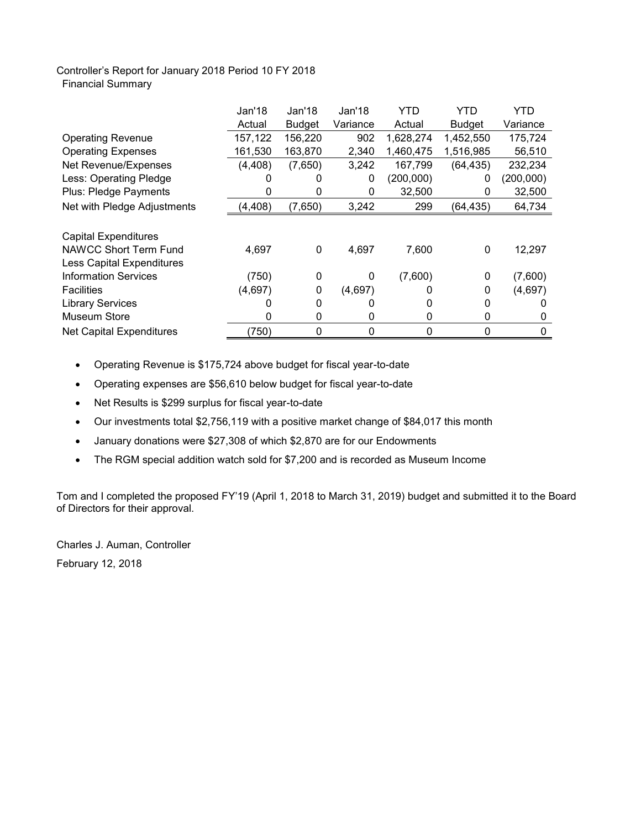## Controller's Report for January 2018 Period 10 FY 2018 Financial Summary

|                                  | Jan'18   | Jan'18        | Jan'18   | YTD       | YTD           | YTD       |
|----------------------------------|----------|---------------|----------|-----------|---------------|-----------|
|                                  | Actual   | <b>Budget</b> | Variance | Actual    | <b>Budget</b> | Variance  |
| <b>Operating Revenue</b>         | 157,122  | 156,220       | 902      | 1,628,274 | 1,452,550     | 175,724   |
| <b>Operating Expenses</b>        | 161,530  | 163,870       | 2,340    | 1,460,475 | 1,516,985     | 56,510    |
| Net Revenue/Expenses             | (4, 408) | (7,650)       | 3,242    | 167,799   | (64, 435)     | 232,234   |
| Less: Operating Pledge           |          |               | 0        | (200,000) | 0             | (200,000) |
| Plus: Pledge Payments            |          | 0             | 0        | 32,500    | 0             | 32,500    |
| Net with Pledge Adjustments      | (4, 408) | (7,650)       | 3,242    | 299       | (64, 435)     | 64,734    |
|                                  |          |               |          |           |               |           |
| <b>Capital Expenditures</b>      |          |               |          |           |               |           |
| NAWCC Short Term Fund            | 4,697    | 0             | 4,697    | 7,600     | 0             | 12,297    |
| <b>Less Capital Expenditures</b> |          |               |          |           |               |           |
| <b>Information Services</b>      | (750)    | 0             | 0        | (7,600)   | 0             | (7,600)   |
| <b>Facilities</b>                | (4,697)  | 0             | (4,697)  |           | 0             | (4,697)   |
| <b>Library Services</b>          |          | 0             |          |           | 0             |           |
| <b>Museum Store</b>              | 0        | 0             | 0        | 0         | 0             | 0         |
| <b>Net Capital Expenditures</b>  | (750)    | 0             | 0        | 0         | 0             | 0         |

- Operating Revenue is \$175,724 above budget for fiscal year-to-date
- Operating expenses are \$56,610 below budget for fiscal year-to-date
- Net Results is \$299 surplus for fiscal year-to-date
- Our investments total \$2,756,119 with a positive market change of \$84,017 this month
- January donations were \$27,308 of which \$2,870 are for our Endowments
- The RGM special addition watch sold for \$7,200 and is recorded as Museum Income

Tom and I completed the proposed FY'19 (April 1, 2018 to March 31, 2019) budget and submitted it to the Board of Directors for their approval.

Charles J. Auman, Controller February 12, 2018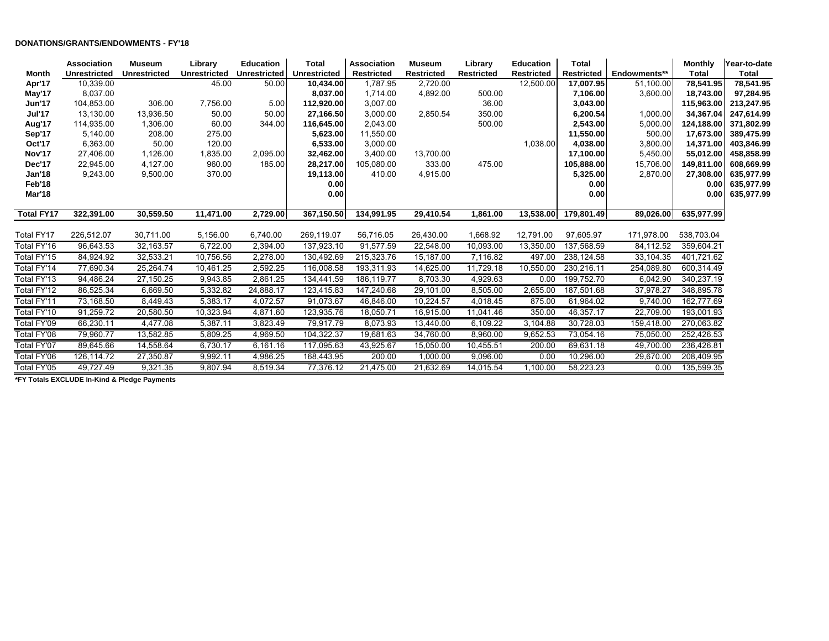#### **DONATIONS/GRANTS/ENDOWMENTS - FY'18**

|                   | Association         | <b>Museum</b>       | Library      | <b>Education</b>    | <b>Total</b>        | <b>Association</b> | <b>Museum</b>     | Library           | <b>Education</b>  | <b>Total</b>      |              | <b>Monthly</b> | Year-to-date |
|-------------------|---------------------|---------------------|--------------|---------------------|---------------------|--------------------|-------------------|-------------------|-------------------|-------------------|--------------|----------------|--------------|
| Month             | <b>Unrestricted</b> | <b>Unrestricted</b> | Unrestricted | <b>Unrestricted</b> | <b>Unrestricted</b> | <b>Restricted</b>  | <b>Restricted</b> | <b>Restricted</b> | <b>Restricted</b> | <b>Restricted</b> | Endowments** | <b>Total</b>   | Total        |
| Apr'17            | 10,339.00           |                     | 45.00        | 50.00               | 10.434.00           | 1,787.95           | 2,720.00          |                   | 12,500.00         | 17,007.95         | 51.100.00    | 78.541.95      | 78,541.95    |
| May'17            | 8,037.00            |                     |              |                     | 8,037.00            | 1,714.00           | 4,892.00          | 500.00            |                   | 7,106.00          | 3,600.00     | 18,743.00      | 97,284.95    |
| <b>Jun'17</b>     | 104,853.00          | 306.00              | 7,756.00     | 5.00                | 112,920.00          | 3,007.00           |                   | 36.00             |                   | 3,043.00          |              | 115,963.00     | 213,247.95   |
| Jul'17            | 13,130.00           | 13,936.50           | 50.00        | 50.00               | 27,166.50           | 3,000.00           | 2,850.54          | 350.00            |                   | 6,200.54          | 1,000.00     | 34,367.04      | 247,614.99   |
| Aug'17            | 114,935.00          | 1,306.00            | 60.00        | 344.00              | 116,645.00          | 2,043.00           |                   | 500.00            |                   | 2,543.00          | 5,000.00     | 124,188.00     | 371,802.99   |
| Sep'17            | 5,140.00            | 208.00              | 275.00       |                     | 5,623.00            | 11,550.00          |                   |                   |                   | 11,550.00         | 500.00       | 17,673.00      | 389,475.99   |
| Oct'17            | 6,363.00            | 50.00               | 120.00       |                     | 6,533.00            | 3,000.00           |                   |                   | 1,038.00          | 4,038.00          | 3,800.00     | 14,371.00      | 403,846.99   |
| Nov'17            | 27,406.00           | 1,126.00            | 1,835.00     | 2,095.00            | 32,462.00           | 3,400.00           | 13,700.00         |                   |                   | 17,100.00         | 5,450.00     | 55,012.00      | 458,858.99   |
| Dec'17            | 22,945.00           | 4,127.00            | 960.00       | 185.00              | 28,217.00           | 105,080.00         | 333.00            | 475.00            |                   | 105,888.00        | 15,706.00    | 149,811.00     | 608,669.99   |
| Jan'18            | 9,243.00            | 9,500.00            | 370.00       |                     | 19,113.00           | 410.00             | 4,915.00          |                   |                   | 5,325.00          | 2,870.00     | 27,308.00      | 635,977.99   |
| Feb'18            |                     |                     |              |                     | 0.00                |                    |                   |                   |                   | 0.00              |              | 0.00           | 635,977.99   |
| Mar'18            |                     |                     |              |                     | 0.00                |                    |                   |                   |                   | 0.00              |              | 0.00           | 635,977.99   |
|                   |                     |                     |              | 2,729.00            |                     |                    |                   |                   |                   |                   |              |                |              |
| <b>Total FY17</b> | 322,391.00          | 30,559.50           | 11,471.00    |                     | 367,150.50          | 134,991.95         | 29,410.54         | 1,861.00          | 13,538.00         | 179,801.49        | 89,026.00    | 635,977.99     |              |
| Total FY17        | 226,512.07          | 30,711.00           | 5,156.00     | 6,740.00            | 269,119.07          | 56,716.05          | 26,430.00         | 1,668.92          | 12,791.00         | 97,605.97         | 171,978.00   | 538,703.04     |              |
| Total FY'16       | 96,643.53           | 32,163.57           | 6,722.00     | 2,394.00            | 137,923.10          | 91,577.59          | 22,548.00         | 10,093.00         | 13,350.00         | 137,568.59        | 84,112.52    | 359,604.21     |              |
| Total FY'15       | 84,924.92           | 32,533.21           | 10,756.56    | 2,278.00            | 130,492.69          | 215,323.76         | 15,187.00         | 7,116.82          | 497.00            | 238,124.58        | 33,104.35    | 401,721.62     |              |
| Total FY'14       | 77,690.34           | 25,264.74           | 10,461.25    | 2,592.25            | 116,008.58          | 193,311.93         | 14,625.00         | 11,729.18         | 10,550.00         | 230,216.11        | 254,089.80   | 600,314.49     |              |
| Total FY'13       | 94,486.24           | 27,150.25           | 9,943.85     | 2,861.25            | 134,441.59          | 186,119.77         | 8,703.30          | 4,929.63          | 0.00              | 199,752.70        | 6,042.90     | 340,237.19     |              |
| Total FY'12       | 86,525.34           | 6,669.50            | 5,332.82     | 24,888.17           | 123,415.83          | 147,240.68         | 29,101.00         | 8,505.00          | 2,655.00          | 187,501.68        | 37,978.27    | 348,895.78     |              |
| Total FY'11       | 73,168.50           | 8,449.43            | 5,383.17     | 4,072.57            | 91,073.67           | 46,846.00          | 10,224.57         | 4,018.45          | 875.00            | 61,964.02         | 9,740.00     | 162,777.69     |              |
| Total FY'10       | 91,259.72           | 20,580.50           | 10,323.94    | 4,871.60            | 123,935.76          | 18,050.71          | 16,915.00         | 11,041.46         | 350.00            | 46,357.17         | 22,709.00    | 193,001.93     |              |
| Total FY'09       | 66,230.11           | 4,477.08            | 5,387.11     | 3,823.49            | 79,917.79           | 8,073.93           | 13,440.00         | 6,109.22          | 3,104.88          | 30,728.03         | 159,418.00   | 270,063.82     |              |
| Total FY'08       | 79,960.77           | 13,582.85           | 5,809.25     | 4,969.50            | 104,322.37          | 19,681.63          | 34,760.00         | 8,960.00          | 9,652.53          | 73,054.16         | 75,050.00    | 252,426.53     |              |
| Total FY'07       | 89,645.66           | 14,558.64           | 6,730.17     | 6,161.16            | 117,095.63          | 43,925.67          | 15,050.00         | 10,455.51         | 200.00            | 69,631.18         | 49,700.00    | 236,426.81     |              |
| Total FY'06       | 126,114.72          | 27,350.87           | 9,992.11     | 4,986.25            | 168,443.95          | 200.00             | 1,000.00          | 9,096.00          | 0.00              | 10,296.00         | 29,670.00    | 208,409.95     |              |
| Total FY'05       | 49,727.49           | 9,321.35            | 9,807.94     | 8,519.34            | 77,376.12           | 21,475.00          | 21,632.69         | 14,015.54         | 1,100.00          | 58,223.23         | 0.00         | 135,599.35     |              |

**\*FY Totals EXCLUDE In-Kind & Pledge Payments**